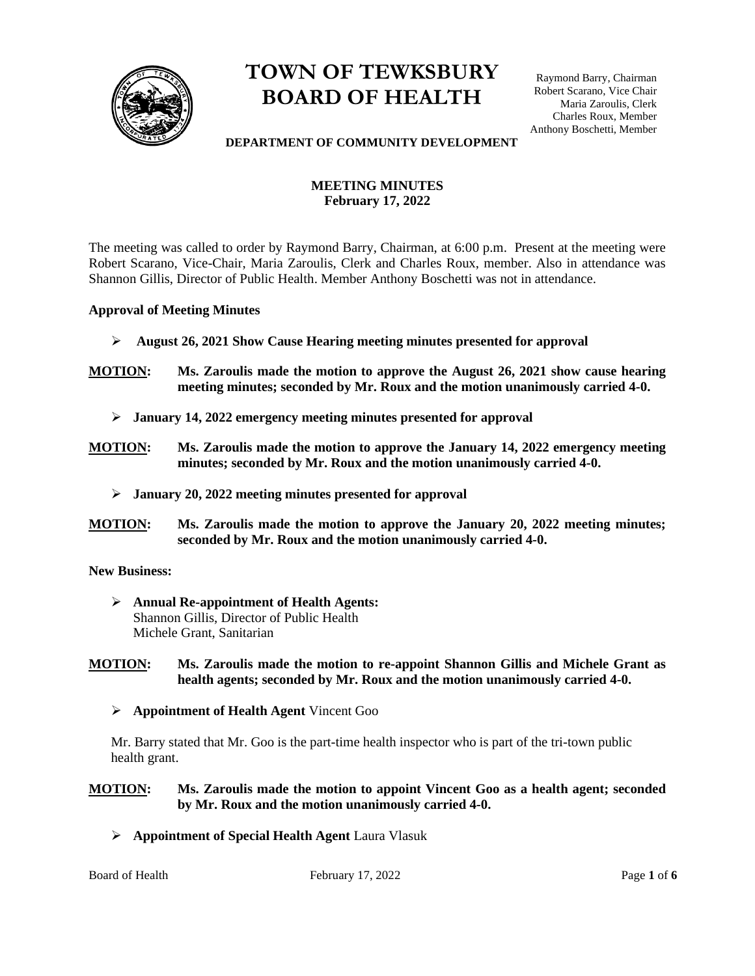

# **TOWN OF TEWKSBURY BOARD OF HEALTH**

Raymond Barry, Chairman Robert Scarano, Vice Chair Maria Zaroulis, Clerk Charles Roux, Member Anthony Boschetti, Member

#### **DEPARTMENT OF COMMUNITY DEVELOPMENT**

# **MEETING MINUTES February 17, 2022**

The meeting was called to order by Raymond Barry, Chairman, at 6:00 p.m. Present at the meeting were Robert Scarano, Vice-Chair, Maria Zaroulis, Clerk and Charles Roux, member. Also in attendance was Shannon Gillis, Director of Public Health. Member Anthony Boschetti was not in attendance.

#### **Approval of Meeting Minutes**

- ➢ **August 26, 2021 Show Cause Hearing meeting minutes presented for approval**
- **MOTION: Ms. Zaroulis made the motion to approve the August 26, 2021 show cause hearing meeting minutes; seconded by Mr. Roux and the motion unanimously carried 4-0.** 
	- ➢ **January 14, 2022 emergency meeting minutes presented for approval**
- **MOTION: Ms. Zaroulis made the motion to approve the January 14, 2022 emergency meeting minutes; seconded by Mr. Roux and the motion unanimously carried 4-0.** 
	- ➢ **January 20, 2022 meeting minutes presented for approval**
- **MOTION: Ms. Zaroulis made the motion to approve the January 20, 2022 meeting minutes; seconded by Mr. Roux and the motion unanimously carried 4-0.**

**New Business:** 

➢ **Annual Re-appointment of Health Agents:**  Shannon Gillis, Director of Public Health Michele Grant, Sanitarian

**MOTION: Ms. Zaroulis made the motion to re-appoint Shannon Gillis and Michele Grant as health agents; seconded by Mr. Roux and the motion unanimously carried 4-0.** 

➢ **Appointment of Health Agent** Vincent Goo

Mr. Barry stated that Mr. Goo is the part-time health inspector who is part of the tri-town public health grant.

#### **MOTION: Ms. Zaroulis made the motion to appoint Vincent Goo as a health agent; seconded by Mr. Roux and the motion unanimously carried 4-0.**

➢ **Appointment of Special Health Agent** Laura Vlasuk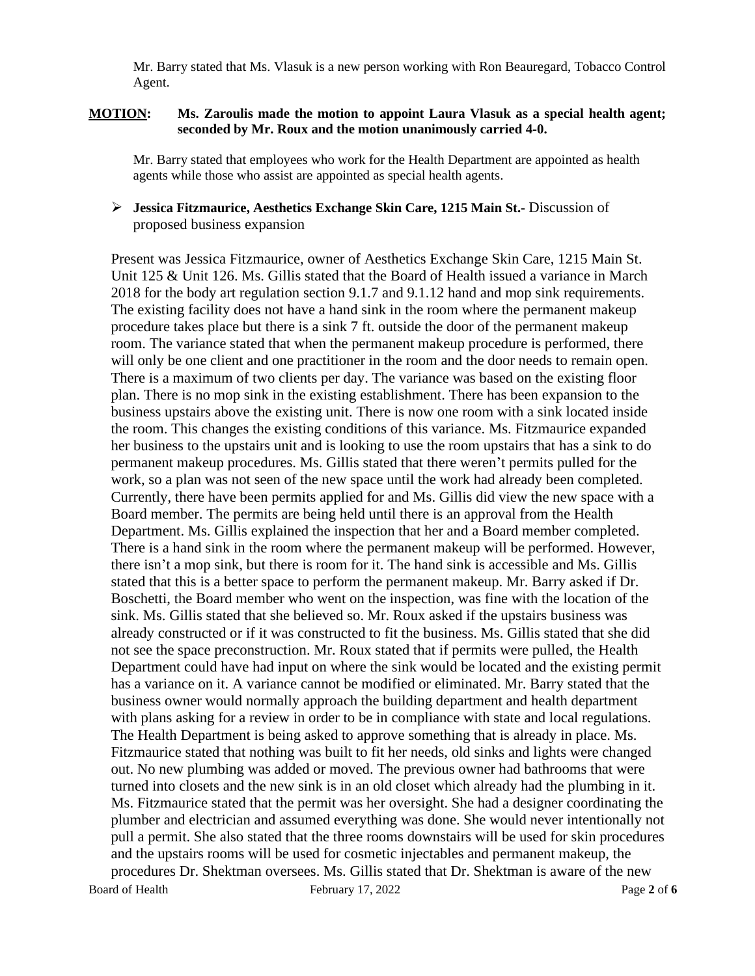Mr. Barry stated that Ms. Vlasuk is a new person working with Ron Beauregard, Tobacco Control Agent.

#### **MOTION: Ms. Zaroulis made the motion to appoint Laura Vlasuk as a special health agent; seconded by Mr. Roux and the motion unanimously carried 4-0.**

Mr. Barry stated that employees who work for the Health Department are appointed as health agents while those who assist are appointed as special health agents.

#### ➢ **Jessica Fitzmaurice, Aesthetics Exchange Skin Care, 1215 Main St.-** Discussion of proposed business expansion

Board of Health February 17, 2022 Page 2 of 6 Present was Jessica Fitzmaurice, owner of Aesthetics Exchange Skin Care, 1215 Main St. Unit 125 & Unit 126. Ms. Gillis stated that the Board of Health issued a variance in March 2018 for the body art regulation section 9.1.7 and 9.1.12 hand and mop sink requirements. The existing facility does not have a hand sink in the room where the permanent makeup procedure takes place but there is a sink 7 ft. outside the door of the permanent makeup room. The variance stated that when the permanent makeup procedure is performed, there will only be one client and one practitioner in the room and the door needs to remain open. There is a maximum of two clients per day. The variance was based on the existing floor plan. There is no mop sink in the existing establishment. There has been expansion to the business upstairs above the existing unit. There is now one room with a sink located inside the room. This changes the existing conditions of this variance. Ms. Fitzmaurice expanded her business to the upstairs unit and is looking to use the room upstairs that has a sink to do permanent makeup procedures. Ms. Gillis stated that there weren't permits pulled for the work, so a plan was not seen of the new space until the work had already been completed. Currently, there have been permits applied for and Ms. Gillis did view the new space with a Board member. The permits are being held until there is an approval from the Health Department. Ms. Gillis explained the inspection that her and a Board member completed. There is a hand sink in the room where the permanent makeup will be performed. However, there isn't a mop sink, but there is room for it. The hand sink is accessible and Ms. Gillis stated that this is a better space to perform the permanent makeup. Mr. Barry asked if Dr. Boschetti, the Board member who went on the inspection, was fine with the location of the sink. Ms. Gillis stated that she believed so. Mr. Roux asked if the upstairs business was already constructed or if it was constructed to fit the business. Ms. Gillis stated that she did not see the space preconstruction. Mr. Roux stated that if permits were pulled, the Health Department could have had input on where the sink would be located and the existing permit has a variance on it. A variance cannot be modified or eliminated. Mr. Barry stated that the business owner would normally approach the building department and health department with plans asking for a review in order to be in compliance with state and local regulations. The Health Department is being asked to approve something that is already in place. Ms. Fitzmaurice stated that nothing was built to fit her needs, old sinks and lights were changed out. No new plumbing was added or moved. The previous owner had bathrooms that were turned into closets and the new sink is in an old closet which already had the plumbing in it. Ms. Fitzmaurice stated that the permit was her oversight. She had a designer coordinating the plumber and electrician and assumed everything was done. She would never intentionally not pull a permit. She also stated that the three rooms downstairs will be used for skin procedures and the upstairs rooms will be used for cosmetic injectables and permanent makeup, the procedures Dr. Shektman oversees. Ms. Gillis stated that Dr. Shektman is aware of the new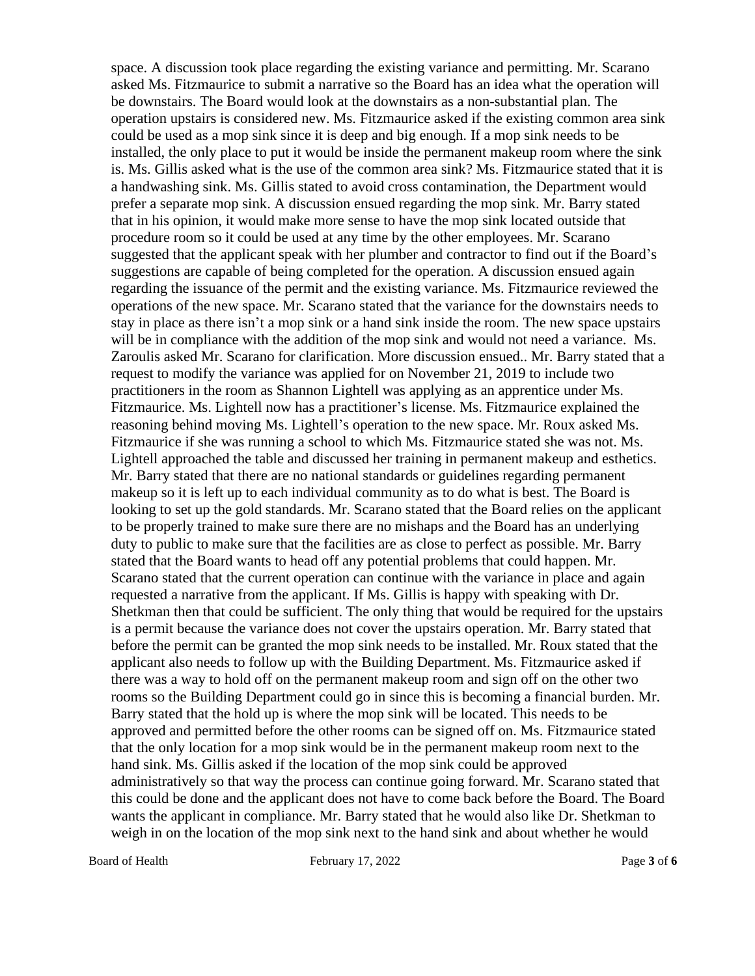space. A discussion took place regarding the existing variance and permitting. Mr. Scarano asked Ms. Fitzmaurice to submit a narrative so the Board has an idea what the operation will be downstairs. The Board would look at the downstairs as a non-substantial plan. The operation upstairs is considered new. Ms. Fitzmaurice asked if the existing common area sink could be used as a mop sink since it is deep and big enough. If a mop sink needs to be installed, the only place to put it would be inside the permanent makeup room where the sink is. Ms. Gillis asked what is the use of the common area sink? Ms. Fitzmaurice stated that it is a handwashing sink. Ms. Gillis stated to avoid cross contamination, the Department would prefer a separate mop sink. A discussion ensued regarding the mop sink. Mr. Barry stated that in his opinion, it would make more sense to have the mop sink located outside that procedure room so it could be used at any time by the other employees. Mr. Scarano suggested that the applicant speak with her plumber and contractor to find out if the Board's suggestions are capable of being completed for the operation. A discussion ensued again regarding the issuance of the permit and the existing variance. Ms. Fitzmaurice reviewed the operations of the new space. Mr. Scarano stated that the variance for the downstairs needs to stay in place as there isn't a mop sink or a hand sink inside the room. The new space upstairs will be in compliance with the addition of the mop sink and would not need a variance. Ms. Zaroulis asked Mr. Scarano for clarification. More discussion ensued.. Mr. Barry stated that a request to modify the variance was applied for on November 21, 2019 to include two practitioners in the room as Shannon Lightell was applying as an apprentice under Ms. Fitzmaurice. Ms. Lightell now has a practitioner's license. Ms. Fitzmaurice explained the reasoning behind moving Ms. Lightell's operation to the new space. Mr. Roux asked Ms. Fitzmaurice if she was running a school to which Ms. Fitzmaurice stated she was not. Ms. Lightell approached the table and discussed her training in permanent makeup and esthetics. Mr. Barry stated that there are no national standards or guidelines regarding permanent makeup so it is left up to each individual community as to do what is best. The Board is looking to set up the gold standards. Mr. Scarano stated that the Board relies on the applicant to be properly trained to make sure there are no mishaps and the Board has an underlying duty to public to make sure that the facilities are as close to perfect as possible. Mr. Barry stated that the Board wants to head off any potential problems that could happen. Mr. Scarano stated that the current operation can continue with the variance in place and again requested a narrative from the applicant. If Ms. Gillis is happy with speaking with Dr. Shetkman then that could be sufficient. The only thing that would be required for the upstairs is a permit because the variance does not cover the upstairs operation. Mr. Barry stated that before the permit can be granted the mop sink needs to be installed. Mr. Roux stated that the applicant also needs to follow up with the Building Department. Ms. Fitzmaurice asked if there was a way to hold off on the permanent makeup room and sign off on the other two rooms so the Building Department could go in since this is becoming a financial burden. Mr. Barry stated that the hold up is where the mop sink will be located. This needs to be approved and permitted before the other rooms can be signed off on. Ms. Fitzmaurice stated that the only location for a mop sink would be in the permanent makeup room next to the hand sink. Ms. Gillis asked if the location of the mop sink could be approved administratively so that way the process can continue going forward. Mr. Scarano stated that this could be done and the applicant does not have to come back before the Board. The Board wants the applicant in compliance. Mr. Barry stated that he would also like Dr. Shetkman to weigh in on the location of the mop sink next to the hand sink and about whether he would

Board of Health February 17, 2022 Page 3 of 6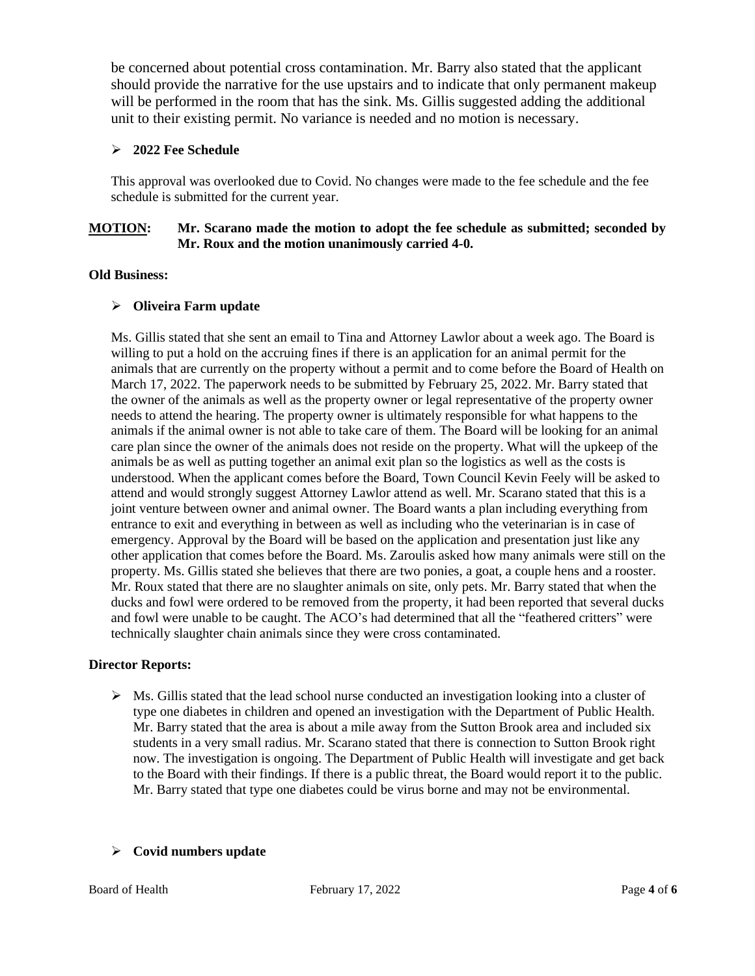be concerned about potential cross contamination. Mr. Barry also stated that the applicant should provide the narrative for the use upstairs and to indicate that only permanent makeup will be performed in the room that has the sink. Ms. Gillis suggested adding the additional unit to their existing permit. No variance is needed and no motion is necessary.

# ➢ **2022 Fee Schedule**

This approval was overlooked due to Covid. No changes were made to the fee schedule and the fee schedule is submitted for the current year.

# **MOTION: Mr. Scarano made the motion to adopt the fee schedule as submitted; seconded by Mr. Roux and the motion unanimously carried 4-0.**

## **Old Business:**

# ➢ **Oliveira Farm update**

Ms. Gillis stated that she sent an email to Tina and Attorney Lawlor about a week ago. The Board is willing to put a hold on the accruing fines if there is an application for an animal permit for the animals that are currently on the property without a permit and to come before the Board of Health on March 17, 2022. The paperwork needs to be submitted by February 25, 2022. Mr. Barry stated that the owner of the animals as well as the property owner or legal representative of the property owner needs to attend the hearing. The property owner is ultimately responsible for what happens to the animals if the animal owner is not able to take care of them. The Board will be looking for an animal care plan since the owner of the animals does not reside on the property. What will the upkeep of the animals be as well as putting together an animal exit plan so the logistics as well as the costs is understood. When the applicant comes before the Board, Town Council Kevin Feely will be asked to attend and would strongly suggest Attorney Lawlor attend as well. Mr. Scarano stated that this is a joint venture between owner and animal owner. The Board wants a plan including everything from entrance to exit and everything in between as well as including who the veterinarian is in case of emergency. Approval by the Board will be based on the application and presentation just like any other application that comes before the Board. Ms. Zaroulis asked how many animals were still on the property. Ms. Gillis stated she believes that there are two ponies, a goat, a couple hens and a rooster. Mr. Roux stated that there are no slaughter animals on site, only pets. Mr. Barry stated that when the ducks and fowl were ordered to be removed from the property, it had been reported that several ducks and fowl were unable to be caught. The ACO's had determined that all the "feathered critters" were technically slaughter chain animals since they were cross contaminated.

## **Director Reports:**

 $\triangleright$  Ms. Gillis stated that the lead school nurse conducted an investigation looking into a cluster of type one diabetes in children and opened an investigation with the Department of Public Health. Mr. Barry stated that the area is about a mile away from the Sutton Brook area and included six students in a very small radius. Mr. Scarano stated that there is connection to Sutton Brook right now. The investigation is ongoing. The Department of Public Health will investigate and get back to the Board with their findings. If there is a public threat, the Board would report it to the public. Mr. Barry stated that type one diabetes could be virus borne and may not be environmental.

## ➢ **Covid numbers update**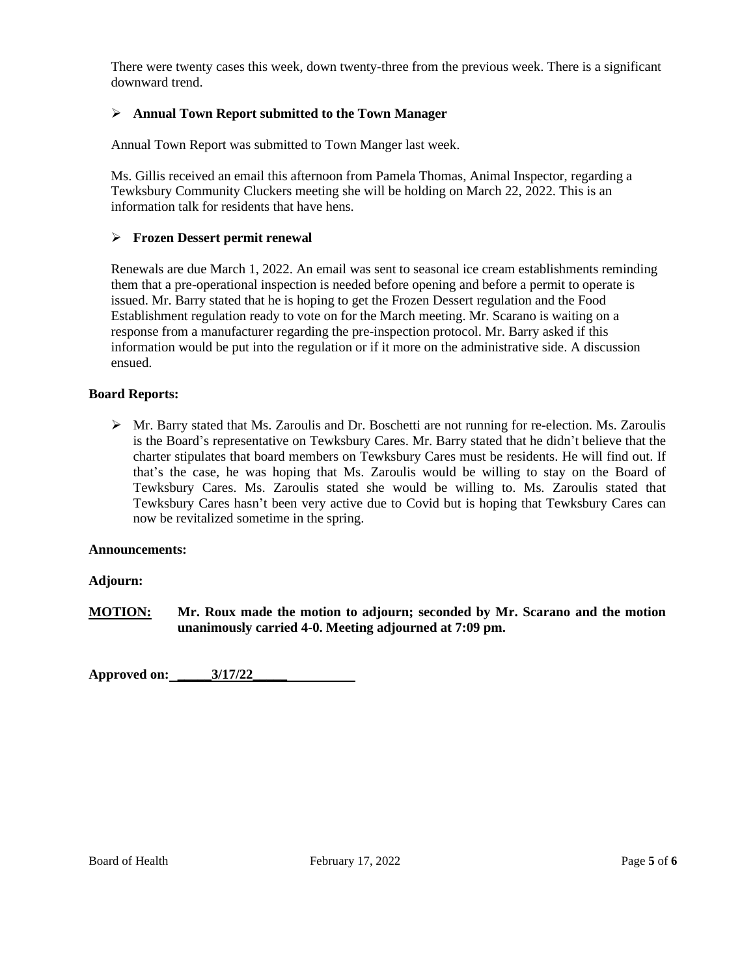There were twenty cases this week, down twenty-three from the previous week. There is a significant downward trend.

# ➢ **Annual Town Report submitted to the Town Manager**

Annual Town Report was submitted to Town Manger last week.

Ms. Gillis received an email this afternoon from Pamela Thomas, Animal Inspector, regarding a Tewksbury Community Cluckers meeting she will be holding on March 22, 2022. This is an information talk for residents that have hens.

# ➢ **Frozen Dessert permit renewal**

Renewals are due March 1, 2022. An email was sent to seasonal ice cream establishments reminding them that a pre-operational inspection is needed before opening and before a permit to operate is issued. Mr. Barry stated that he is hoping to get the Frozen Dessert regulation and the Food Establishment regulation ready to vote on for the March meeting. Mr. Scarano is waiting on a response from a manufacturer regarding the pre-inspection protocol. Mr. Barry asked if this information would be put into the regulation or if it more on the administrative side. A discussion ensued.

## **Board Reports:**

 $\triangleright$  Mr. Barry stated that Ms. Zaroulis and Dr. Boschetti are not running for re-election. Ms. Zaroulis is the Board's representative on Tewksbury Cares. Mr. Barry stated that he didn't believe that the charter stipulates that board members on Tewksbury Cares must be residents. He will find out. If that's the case, he was hoping that Ms. Zaroulis would be willing to stay on the Board of Tewksbury Cares. Ms. Zaroulis stated she would be willing to. Ms. Zaroulis stated that Tewksbury Cares hasn't been very active due to Covid but is hoping that Tewksbury Cares can now be revitalized sometime in the spring.

#### **Announcements:**

## **Adjourn:**

**MOTION: Mr. Roux made the motion to adjourn; seconded by Mr. Scarano and the motion unanimously carried 4-0. Meeting adjourned at 7:09 pm.**

**Approved on: \_\_\_\_\_3/17/22\_\_\_\_\_**